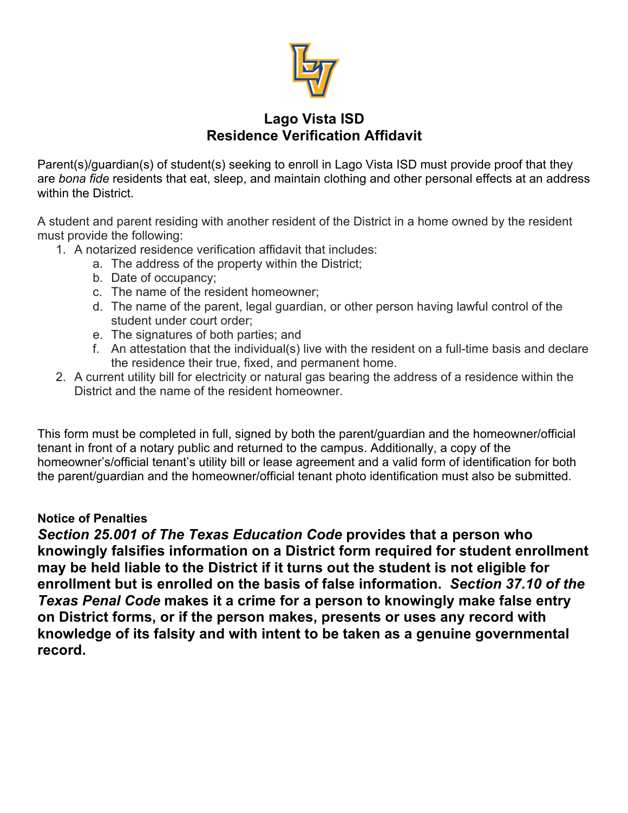

## **Lago Vista ISD Residence Verification Affidavit**

Parent(s)/guardian(s) of student(s) seeking to enroll in Lago Vista ISD must provide proof that they are *bona fide* residents that eat, sleep, and maintain clothing and other personal effects at an address within the District.

A student and parent residing with another resident of the District in a home owned by the resident must provide the following:

- 1. A notarized residence verification affidavit that includes:
	- a. The address of the property within the District;
	- b. Date of occupancy;
	- c. The name of the resident homeowner;
	- d. The name of the parent, legal guardian, or other person having lawful control of the student under court order;
	- e. The signatures of both parties; and
	- f. An attestation that the individual(s) live with the resident on a full-time basis and declare the residence their true, fixed, and permanent home.
- 2. A current utility bill for electricity or natural gas bearing the address of a residence within the District and the name of the resident homeowner.

This form must be completed in full, signed by both the parent/guardian and the homeowner/official tenant in front of a notary public and returned to the campus. Additionally, a copy of the homeowner's/official tenant's utility bill or lease agreement and a valid form of identification for both the parent/guardian and the homeowner/official tenant photo identification must also be submitted.

## **Notice of Penalties**

*Section 25.001 of The Texas Education Code* **provides that a person who knowingly falsifies information on a District form required for student enrollment may be held liable to the District if it turns out the student is not eligible for enrollment but is enrolled on the basis of false information.** *Section 37.10 of the Texas Penal Code* **makes it a crime for a person to knowingly make false entry on District forms, or if the person makes, presents or uses any record with knowledge of its falsity and with intent to be taken as a genuine governmental record.**